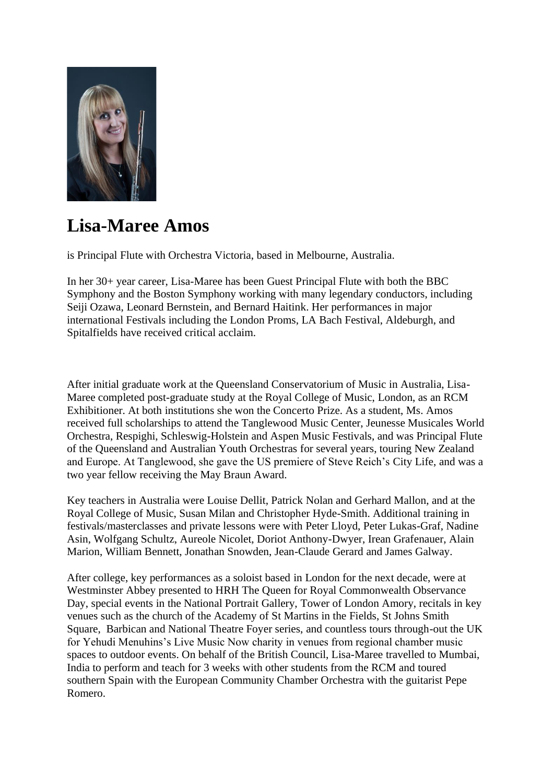

## **Lisa-Maree Amos**

is Principal Flute with Orchestra Victoria, based in Melbourne, Australia.

In her 30+ year career, Lisa-Maree has been Guest Principal Flute with both the BBC Symphony and the Boston Symphony working with many legendary conductors, including Seiji Ozawa, Leonard Bernstein, and Bernard Haitink. Her performances in major international Festivals including the London Proms, LA Bach Festival, Aldeburgh, and Spitalfields have received critical acclaim.

After initial graduate work at the Queensland Conservatorium of Music in Australia, Lisa-Maree completed post-graduate study at the Royal College of Music, London, as an RCM Exhibitioner. At both institutions she won the Concerto Prize. As a student, Ms. Amos received full scholarships to attend the Tanglewood Music Center, Jeunesse Musicales World Orchestra, Respighi, Schleswig-Holstein and Aspen Music Festivals, and was Principal Flute of the Queensland and Australian Youth Orchestras for several years, touring New Zealand and Europe. At Tanglewood, she gave the US premiere of Steve Reich's City Life, and was a two year fellow receiving the May Braun Award.

Key teachers in Australia were Louise Dellit, Patrick Nolan and Gerhard Mallon, and at the Royal College of Music, Susan Milan and Christopher Hyde-Smith. Additional training in festivals/masterclasses and private lessons were with Peter Lloyd, Peter Lukas-Graf, Nadine Asin, Wolfgang Schultz, Aureole Nicolet, Doriot Anthony-Dwyer, Irean Grafenauer, Alain Marion, William Bennett, Jonathan Snowden, Jean-Claude Gerard and James Galway.

After college, key performances as a soloist based in London for the next decade, were at Westminster Abbey presented to HRH The Queen for Royal Commonwealth Observance Day, special events in the National Portrait Gallery, Tower of London Amory, recitals in key venues such as the church of the Academy of St Martins in the Fields, St Johns Smith Square, Barbican and National Theatre Foyer series, and countless tours through-out the UK for Yehudi Menuhins's Live Music Now charity in venues from regional chamber music spaces to outdoor events. On behalf of the British Council, Lisa-Maree travelled to Mumbai, India to perform and teach for 3 weeks with other students from the RCM and toured southern Spain with the European Community Chamber Orchestra with the guitarist Pepe Romero.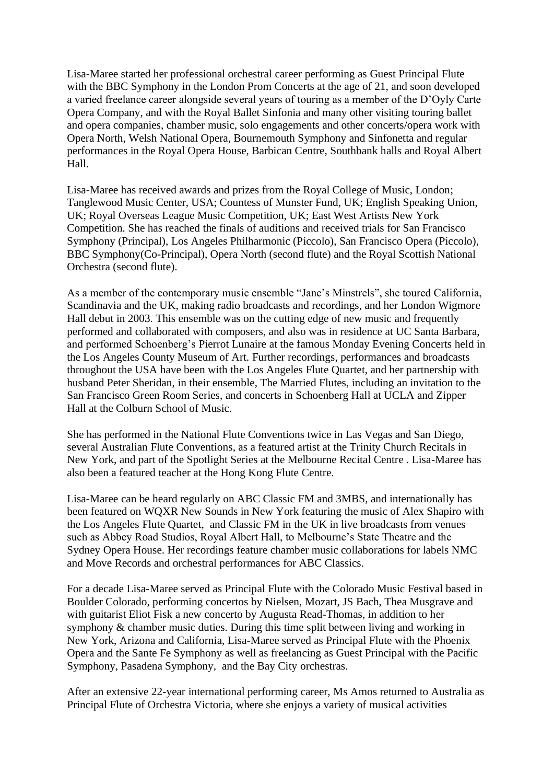Lisa-Maree started her professional orchestral career performing as Guest Principal Flute with the BBC Symphony in the London Prom Concerts at the age of 21, and soon developed a varied freelance career alongside several years of touring as a member of the D'Oyly Carte Opera Company, and with the Royal Ballet Sinfonia and many other visiting touring ballet and opera companies, chamber music, solo engagements and other concerts/opera work with Opera North, Welsh National Opera, Bournemouth Symphony and Sinfonetta and regular performances in the Royal Opera House, Barbican Centre, Southbank halls and Royal Albert Hall.

Lisa-Maree has received awards and prizes from the Royal College of Music, London; Tanglewood Music Center, USA; Countess of Munster Fund, UK; English Speaking Union, UK; Royal Overseas League Music Competition, UK; East West Artists New York Competition. She has reached the finals of auditions and received trials for San Francisco Symphony (Principal), Los Angeles Philharmonic (Piccolo), San Francisco Opera (Piccolo), BBC Symphony(Co-Principal), Opera North (second flute) and the Royal Scottish National Orchestra (second flute).

As a member of the contemporary music ensemble "Jane's Minstrels", she toured California, Scandinavia and the UK, making radio broadcasts and recordings, and her London Wigmore Hall debut in 2003. This ensemble was on the cutting edge of new music and frequently performed and collaborated with composers, and also was in residence at UC Santa Barbara, and performed Schoenberg's Pierrot Lunaire at the famous Monday Evening Concerts held in the Los Angeles County Museum of Art. Further recordings, performances and broadcasts throughout the USA have been with the Los Angeles Flute Quartet, and her partnership with husband Peter Sheridan, in their ensemble, The Married Flutes, including an invitation to the San Francisco Green Room Series, and concerts in Schoenberg Hall at UCLA and Zipper Hall at the Colburn School of Music.

She has performed in the National Flute Conventions twice in Las Vegas and San Diego, several Australian Flute Conventions, as a featured artist at the Trinity Church Recitals in New York, and part of the Spotlight Series at the Melbourne Recital Centre . Lisa-Maree has also been a featured teacher at the Hong Kong Flute Centre.

Lisa-Maree can be heard regularly on ABC Classic FM and 3MBS, and internationally has been featured on WQXR New Sounds in New York featuring the music of Alex Shapiro with the Los Angeles Flute Quartet, and Classic FM in the UK in live broadcasts from venues such as Abbey Road Studios, Royal Albert Hall, to Melbourne's State Theatre and the Sydney Opera House. Her recordings feature chamber music collaborations for labels NMC and Move Records and orchestral performances for ABC Classics.

For a decade Lisa-Maree served as Principal Flute with the Colorado Music Festival based in Boulder Colorado, performing concertos by Nielsen, Mozart, JS Bach, Thea Musgrave and with guitarist Eliot Fisk a new concerto by Augusta Read-Thomas, in addition to her symphony & chamber music duties. During this time split between living and working in New York, Arizona and California, Lisa-Maree served as Principal Flute with the Phoenix Opera and the Sante Fe Symphony as well as freelancing as Guest Principal with the Pacific Symphony, Pasadena Symphony, and the Bay City orchestras.

After an extensive 22-year international performing career, Ms Amos returned to Australia as Principal Flute of Orchestra Victoria, where she enjoys a variety of musical activities